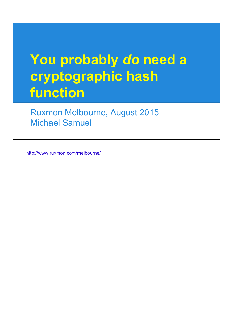# **You probably** *do* **need a cryptographic hash function**

Ruxmon Melbourne, August 2015 Michael Samuel

<http://www.ruxmon.com/melbourne/>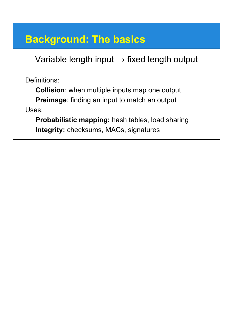### **Background: The basics**

Variable length input  $\rightarrow$  fixed length output

Definitions:

**Collision**: when multiple inputs map one output **Preimage**: finding an input to match an output Uses:

**Probabilistic mapping:** hash tables, load sharing **Integrity:** checksums, MACs, signatures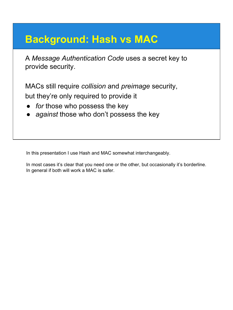### **Background: Hash vs MAC**

A *Message Authentication Code* uses a secret key to provide security.

MACs still require *collision* and *preimage* security, but they're only required to provide it

- for those who possess the key
- against those who don't possess the key

In this presentation I use Hash and MAC somewhat interchangeably.

In most cases it's clear that you need one or the other, but occasionally it's borderline. In general if both will work a MAC is safer.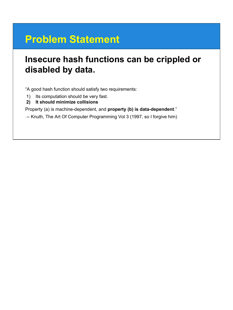# **Problem Statement**

### **Insecure hash functions can be crippled or disabled by data.**

"A good hash function should satisfy two requirements:

- 1) Its computation should be very fast.
- **2) It should minimize collisions**

Property (a) is machine-dependent, and **property (b) is data-dependent**."

-- Knuth, The Art Of Computer Programming Vol 3 (1997, so I forgive him)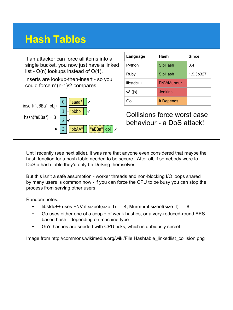# **Hash Tables**

If an attacker can force all items into a single bucket, you now just have a linked list - O(n) lookups instead of O(1).

Inserts are lookup-then-insert - so you could force n\*(n-1)/2 compares.



| Language    | Hash              | <b>Since</b> |
|-------------|-------------------|--------------|
| Python      | SipHash           | 3.4          |
| Ruby        | SipHash           | 1.9.3p327    |
| $libstdc++$ | <b>FNV/Murmur</b> |              |
| $v8$ (js)   | <b>Jenkins</b>    |              |
| ദ്ര         | It Depends        |              |

Collisions force worst case behaviour - a DoS attack!

Until recently (see next slide), it was rare that anyone even considered that maybe the hash function for a hash table needed to be secure. After all, if somebody were to DoS a hash table they'd only be DoSing themselves.

But this isn't a safe assumption - worker threads and non-blocking I/O loops shared by many users is common now - if you can force the CPU to be busy you can stop the process from serving other users.

Random notes:

- libstdc++ uses FNV if sizeof(size\_t) == 4, Murmur if sizeof(size\_t) == 8
- Go uses either one of a couple of weak hashes, or a very-reduced-round AES based hash - depending on machine type
- Go's hashes are seeded with CPU ticks, which is dubiously secret

Image from http://commons.wikimedia.org/wiki/File:Hashtable\_linkedlist\_collision.png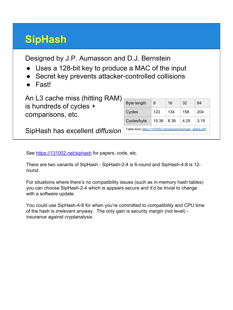# **SipHash**

Designed by J.P. Aumasson and D.J. Bernstein

- Uses a 128-bit key to produce a MAC of the input
- Secret key prevents attacker-controlled collisions
- Fast!

An L3 cache miss (hitting RAM) is hundreds of cycles + comparisons, etc.

| Byte length                                              | 8     | 16   | 32   | 64   |  |
|----------------------------------------------------------|-------|------|------|------|--|
| Cycles                                                   | 123   | 134  | 158  | 204  |  |
| Cycles/byte                                              | 15.38 | 8.38 | 4.25 | 3.19 |  |
| Table from https://131002.net/siphash/siphash_slides.pdf |       |      |      |      |  |

SipHash has excellent *diffusion*

See<https://131002.net/siphash> for papers, code, etc.

There are two variants of SipHash - SipHash-2-4 is 6-round and SipHash-4-8 is 12 round.

For situations where there's no compatibility issues (such as in-memory hash tables) you can choose SipHash-2-4 which is appears secure and it'd be trivial to change with a software update.

You could use SipHash-4-8 for when you're committed to compatibility and CPU time of the hash is irrelevant anyway. The only gain is security margin (not level) insurance against cryptanalysis.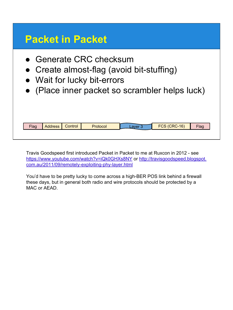### **Packet in Packet**

- Generate CRC checksum
- Create almost-flag (avoid bit-stuffing)
- Wait for lucky bit-errors
- (Place inner packet so scrambler helps luck)

| <b>Flag</b> | <b>Address</b> | Control | Protocol | 0.10r | <b>FCS (CRC-16)</b> | Flag |
|-------------|----------------|---------|----------|-------|---------------------|------|
|             |                |         |          |       |                     |      |

Travis Goodspeed first introduced Packet in Packet to me at Ruxcon in 2012 - see <https://www.youtube.com/watch?v=iQk0GHXs8NY>or [http://travisgoodspeed.blogspot.](http://travisgoodspeed.blogspot.com.au/2011/09/remotely-exploiting-phy-layer.html) [com.au/2011/09/remotely-exploiting-phy-layer.html](http://travisgoodspeed.blogspot.com.au/2011/09/remotely-exploiting-phy-layer.html)

You'd have to be pretty lucky to come across a high-BER POS link behind a firewall these days, but in general both radio and wire protocols should be protected by a MAC or AEAD.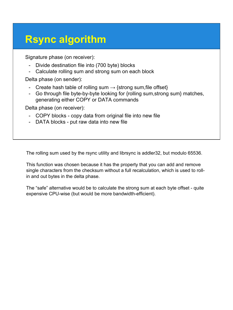### **Rsync algorithm**

Signature phase (on receiver):

- Divide destination file into (700 byte) blocks
- Calculate rolling sum and strong sum on each block

Delta phase (on sender):

- Create hash table of rolling sum  $\rightarrow$  {strong sum, file offset}
- Go through file byte-by-byte looking for {rolling sum,strong sum} matches, generating either COPY or DATA commands

Delta phase (on receiver):

- COPY blocks copy data from original file into new file
- DATA blocks put raw data into new file

The rolling sum used by the rsync utility and librsync is addler32, but modulo 65536.

This function was chosen because it has the property that you can add and remove single characters from the checksum without a full recalculation, which is used to rollin and out bytes in the delta phase.

The "safe" alternative would be to calculate the strong sum at each byte offset - quite expensive CPU-wise (but would be more bandwidth-efficient).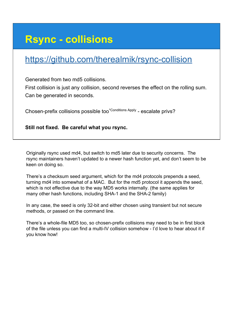### **Rsync - collisions**

### <https://github.com/therealmik/rsync-collision>

Generated from two md5 collisions.

First collision is just any collision, second reverses the effect on the rolling sum. Can be generated in seconds.

Chosen-prefix collisions possible too\*Conditions Apply - escalate privs?

**Still not fixed. Be careful what you rsync.**

Originally rsync used md4, but switch to md5 later due to security concerns. The rsync maintainers haven't updated to a newer hash function yet, and don't seem to be keen on doing so.

There's a checksum seed argument, which for the md4 protocols prepends a seed, turning md4 into somewhat of a MAC. But for the md5 protocol it appends the seed, which is not effective due to the way MD5 works internally. (the same applies for many other hash functions, including SHA-1 and the SHA-2 family)

In any case, the seed is only 32-bit and either chosen using transient but not secure methods, or passed on the command line.

There's a whole-file MD5 too, so chosen-prefix collisions may need to be in first block of the file unless you can find a multi-IV collision somehow - I'd love to hear about it if you know how!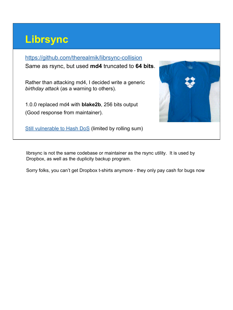### **Librsync**

#### <https://github.com/therealmik/librsync-collision>

Same as rsync, but used **md4** truncated to **64 bits**.

Rather than attacking md4, I decided write a generic *birthday attack* (as a warning to others).

1.0.0 replaced md4 with **blake2b**, 256 bits output (Good response from maintainer).



[Still vulnerable to Hash DoS](https://github.com/librsync/librsync/issues/3) (limited by rolling sum)

librsync is not the same codebase or maintainer as the rsync utility. It is used by Dropbox, as well as the duplicity backup program.

Sorry folks, you can't get Dropbox t-shirts anymore - they only pay cash for bugs now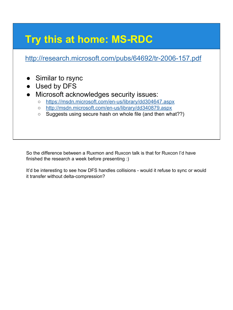# **Try this at home: MS-RDC**

<http://research.microsoft.com/pubs/64692/tr-2006-157.pdf>

- Similar to rsync
- Used by DFS
- Microsoft acknowledges security issues:
	- <https://msdn.microsoft.com/en-us/library/dd304647.aspx>
	- <http://msdn.microsoft.com/en-us/library/dd340879.aspx>
	- Suggests using secure hash on whole file (and then what??)

So the difference between a Ruxmon and Ruxcon talk is that for Ruxcon I'd have finished the research a week before presenting :)

It'd be interesting to see how DFS handles collisions - would it refuse to sync or would it transfer without delta-compression?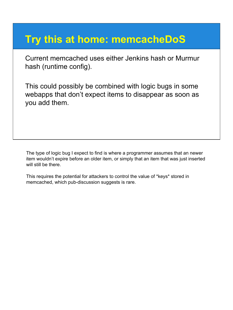### **Try this at home: memcacheDoS**

Current memcached uses either Jenkins hash or Murmur hash (runtime config).

This could possibly be combined with logic bugs in some webapps that don't expect items to disappear as soon as you add them.

The type of logic bug I expect to find is where a programmer assumes that an newer item wouldn't expire before an older item, or simply that an item that was just inserted will still be there.

This requires the potential for attackers to control the value of \*keys\* stored in memcached, which pub-discussion suggests is rare.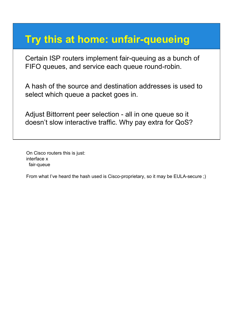### **Try this at home: unfair-queueing**

Certain ISP routers implement fair-queuing as a bunch of FIFO queues, and service each queue round-robin.

A hash of the source and destination addresses is used to select which queue a packet goes in.

Adjust Bittorrent peer selection - all in one queue so it doesn't slow interactive traffic. Why pay extra for QoS?

On Cisco routers this is just: interface x fair-queue

From what I've heard the hash used is Cisco-proprietary, so it may be EULA-secure ;)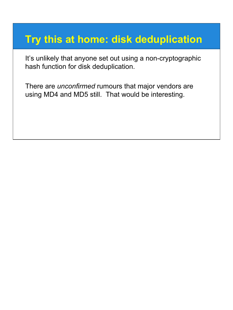### **Try this at home: disk deduplication**

It's unlikely that anyone set out using a non-cryptographic hash function for disk deduplication.

There are *unconfirmed* rumours that major vendors are using MD4 and MD5 still. That would be interesting.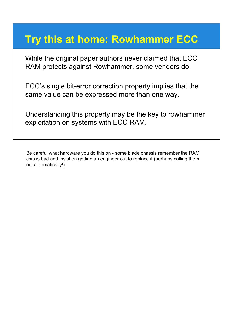### **Try this at home: Rowhammer ECC**

While the original paper authors never claimed that ECC RAM protects against Rowhammer, some vendors do.

ECC's single bit-error correction property implies that the same value can be expressed more than one way.

Understanding this property may be the key to rowhammer exploitation on systems with ECC RAM.

Be careful what hardware you do this on - some blade chassis remember the RAM chip is bad and insist on getting an engineer out to replace it (perhaps calling them out automatically!).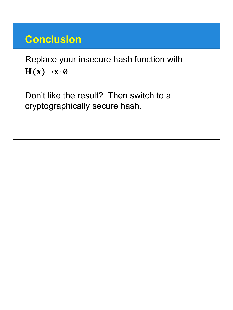### **Conclusion**

Replace your insecure hash function with  $H(x) \rightarrow x \cdot \Theta$ 

Don't like the result? Then switch to a cryptographically secure hash.